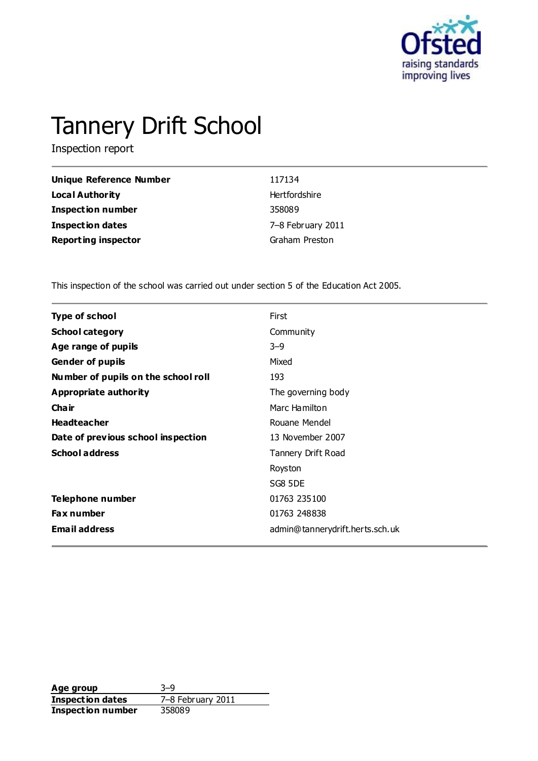

# Tannery Drift School

Inspection report

| Unique Reference Number    | 117134            |
|----------------------------|-------------------|
| <b>Local Authority</b>     | Hertfordshire     |
| <b>Inspection number</b>   | 358089            |
| Inspection dates           | 7-8 February 2011 |
| <b>Reporting inspector</b> | Graham Preston    |

This inspection of the school was carried out under section 5 of the Education Act 2005.

| <b>Type of school</b>               | First                           |
|-------------------------------------|---------------------------------|
| <b>School category</b>              | Community                       |
| Age range of pupils                 | $3 - 9$                         |
| <b>Gender of pupils</b>             | Mixed                           |
| Number of pupils on the school roll | 193                             |
| <b>Appropriate authority</b>        | The governing body              |
| Cha ir                              | Marc Hamilton                   |
| <b>Headteacher</b>                  | Rouane Mendel                   |
| Date of previous school inspection  | 13 November 2007                |
| <b>School address</b>               | Tannery Drift Road              |
|                                     | Royston                         |
|                                     | SG8 5DE                         |
| Telephone number                    | 01763 235100                    |
| <b>Fax number</b>                   | 01763 248838                    |
| <b>Email address</b>                | admin@tannerydrift.herts.sch.uk |
|                                     |                                 |

Age group<br> **Inspection dates** 3–9<br>
7–8 February 2011 **Inspection dates** 7–8 Feb<br>**Inspection number** 358089 **Inspection number**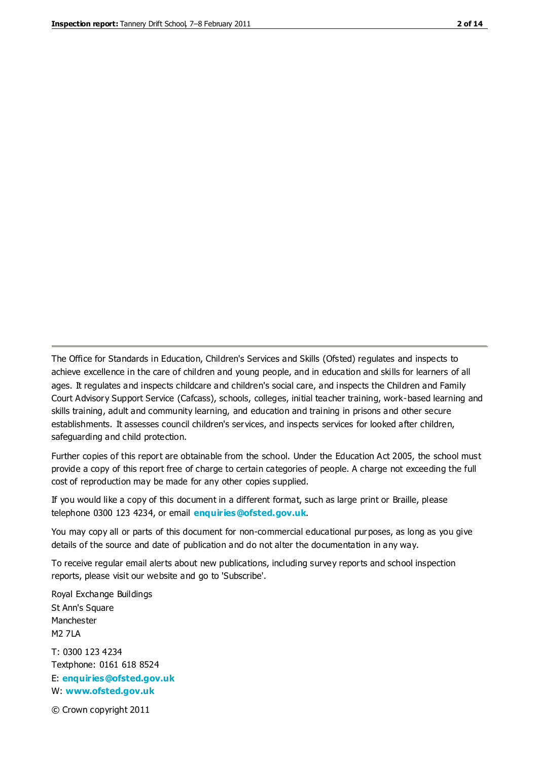The Office for Standards in Education, Children's Services and Skills (Ofsted) regulates and inspects to achieve excellence in the care of children and young people, and in education and skills for learners of all ages. It regulates and inspects childcare and children's social care, and inspects the Children and Family Court Advisory Support Service (Cafcass), schools, colleges, initial teacher training, work-based learning and skills training, adult and community learning, and education and training in prisons and other secure establishments. It assesses council children's services, and inspects services for looked after children, safeguarding and child protection.

Further copies of this report are obtainable from the school. Under the Education Act 2005, the school must provide a copy of this report free of charge to certain categories of people. A charge not exceeding the full cost of reproduction may be made for any other copies supplied.

If you would like a copy of this document in a different format, such as large print or Braille, please telephone 0300 123 4234, or email **[enquiries@ofsted.gov.uk](mailto:enquiries@ofsted.gov.uk)**.

You may copy all or parts of this document for non-commercial educational purposes, as long as you give details of the source and date of publication and do not alter the documentation in any way.

To receive regular email alerts about new publications, including survey reports and school inspection reports, please visit our website and go to 'Subscribe'.

Royal Exchange Buildings St Ann's Square Manchester M2 7LA T: 0300 123 4234 Textphone: 0161 618 8524 E: **[enquiries@ofsted.gov.uk](mailto:enquiries@ofsted.gov.uk)**

W: **[www.ofsted.gov.uk](http://www.ofsted.gov.uk/)**

© Crown copyright 2011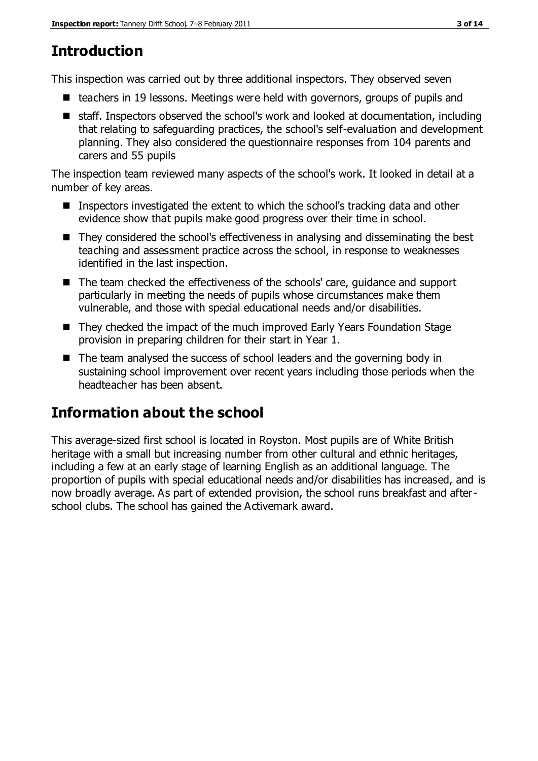# **Introduction**

This inspection was carried out by three additional inspectors. They observed seven

- $\blacksquare$  teachers in 19 lessons. Meetings were held with governors, groups of pupils and
- staff. Inspectors observed the school's work and looked at documentation, including that relating to safeguarding practices, the school's self-evaluation and development planning. They also considered the questionnaire responses from 104 parents and carers and 55 pupils

The inspection team reviewed many aspects of the school's work. It looked in detail at a number of key areas.

- Inspectors investigated the extent to which the school's tracking data and other evidence show that pupils make good progress over their time in school.
- They considered the school's effectiveness in analysing and disseminating the best teaching and assessment practice across the school, in response to weaknesses identified in the last inspection.
- The team checked the effectiveness of the schools' care, quidance and support particularly in meeting the needs of pupils whose circumstances make them vulnerable, and those with special educational needs and/or disabilities.
- They checked the impact of the much improved Early Years Foundation Stage provision in preparing children for their start in Year 1.
- The team analysed the success of school leaders and the governing body in sustaining school improvement over recent years including those periods when the headteacher has been absent.

# **Information about the school**

This average-sized first school is located in Royston. Most pupils are of White British heritage with a small but increasing number from other cultural and ethnic heritages, including a few at an early stage of learning English as an additional language. The proportion of pupils with special educational needs and/or disabilities has increased, and is now broadly average. As part of extended provision, the school runs breakfast and afterschool clubs. The school has gained the Activemark award.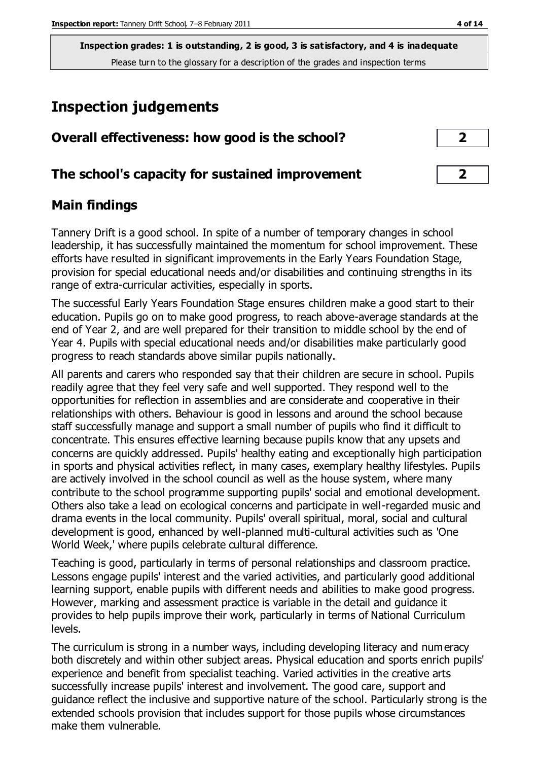# **Inspection judgements**

|  | Overall effectiveness: how good is the school? |  |  |  |  |
|--|------------------------------------------------|--|--|--|--|
|--|------------------------------------------------|--|--|--|--|

## **The school's capacity for sustained improvement 2**

## **Main findings**

Tannery Drift is a good school. In spite of a number of temporary changes in school leadership, it has successfully maintained the momentum for school improvement. These efforts have resulted in significant improvements in the Early Years Foundation Stage, provision for special educational needs and/or disabilities and continuing strengths in its range of extra-curricular activities, especially in sports.

The successful Early Years Foundation Stage ensures children make a good start to their education. Pupils go on to make good progress, to reach above-average standards at the end of Year 2, and are well prepared for their transition to middle school by the end of Year 4. Pupils with special educational needs and/or disabilities make particularly good progress to reach standards above similar pupils nationally.

All parents and carers who responded say that their children are secure in school. Pupils readily agree that they feel very safe and well supported. They respond well to the opportunities for reflection in assemblies and are considerate and cooperative in their relationships with others. Behaviour is good in lessons and around the school because staff successfully manage and support a small number of pupils who find it difficult to concentrate. This ensures effective learning because pupils know that any upsets and concerns are quickly addressed. Pupils' healthy eating and exceptionally high participation in sports and physical activities reflect, in many cases, exemplary healthy lifestyles. Pupils are actively involved in the school council as well as the house system, where many contribute to the school programme supporting pupils' social and emotional development. Others also take a lead on ecological concerns and participate in well-regarded music and drama events in the local community. Pupils' overall spiritual, moral, social and cultural development is good, enhanced by well-planned multi-cultural activities such as 'One World Week,' where pupils celebrate cultural difference.

Teaching is good, particularly in terms of personal relationships and classroom practice. Lessons engage pupils' interest and the varied activities, and particularly good additional learning support, enable pupils with different needs and abilities to make good progress. However, marking and assessment practice is variable in the detail and guidance it provides to help pupils improve their work, particularly in terms of National Curriculum levels.

The curriculum is strong in a number ways, including developing literacy and numeracy both discretely and within other subject areas. Physical education and sports enrich pupils' experience and benefit from specialist teaching. Varied activities in the creative arts successfully increase pupils' interest and involvement. The good care, support and guidance reflect the inclusive and supportive nature of the school. Particularly strong is the extended schools provision that includes support for those pupils whose circumstances make them vulnerable.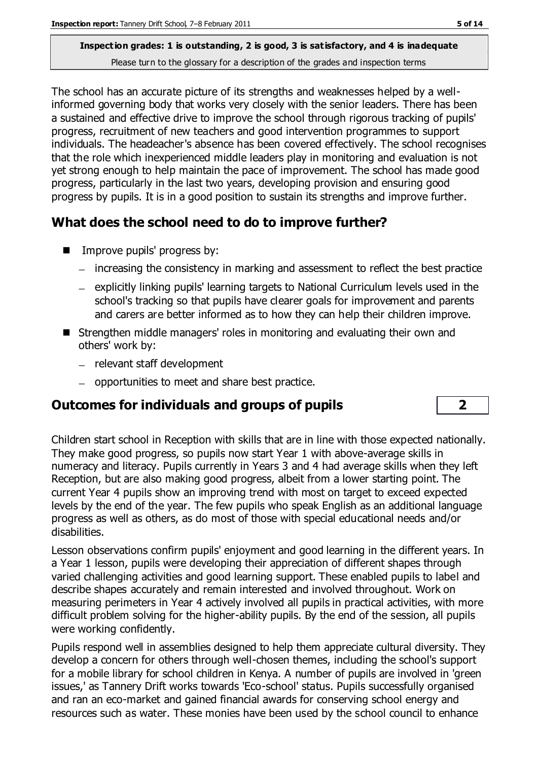The school has an accurate picture of its strengths and weaknesses helped by a wellinformed governing body that works very closely with the senior leaders. There has been a sustained and effective drive to improve the school through rigorous tracking of pupils' progress, recruitment of new teachers and good intervention programmes to support individuals. The headeacher's absence has been covered effectively. The school recognises that the role which inexperienced middle leaders play in monitoring and evaluation is not yet strong enough to help maintain the pace of improvement. The school has made good progress, particularly in the last two years, developing provision and ensuring good progress by pupils. It is in a good position to sustain its strengths and improve further.

# **What does the school need to do to improve further?**

- **IMPROVE pupils' progress by:** 
	- increasing the consistency in marking and assessment to reflect the best practice
	- explicitly linking pupils' learning targets to National Curriculum levels used in the school's tracking so that pupils have clearer goals for improvement and parents and carers are better informed as to how they can help their children improve.
- Strengthen middle managers' roles in monitoring and evaluating their own and others' work by:
	- relevant staff development
	- opportunities to meet and share best practice.

## **Outcomes for individuals and groups of pupils 2**

Children start school in Reception with skills that are in line with those expected nationally. They make good progress, so pupils now start Year 1 with above-average skills in numeracy and literacy. Pupils currently in Years 3 and 4 had average skills when they left Reception, but are also making good progress, albeit from a lower starting point. The current Year 4 pupils show an improving trend with most on target to exceed expected levels by the end of the year. The few pupils who speak English as an additional language progress as well as others, as do most of those with special educational needs and/or disabilities.

Lesson observations confirm pupils' enjoyment and good learning in the different years. In a Year 1 lesson, pupils were developing their appreciation of different shapes through varied challenging activities and good learning support. These enabled pupils to label and describe shapes accurately and remain interested and involved throughout. Work on measuring perimeters in Year 4 actively involved all pupils in practical activities, with more difficult problem solving for the higher-ability pupils. By the end of the session, all pupils were working confidently.

Pupils respond well in assemblies designed to help them appreciate cultural diversity. They develop a concern for others through well-chosen themes, including the school's support for a mobile library for school children in Kenya. A number of pupils are involved in 'green issues,' as Tannery Drift works towards 'Eco-school' status. Pupils successfully organised and ran an eco-market and gained financial awards for conserving school energy and resources such as water. These monies have been used by the school council to enhance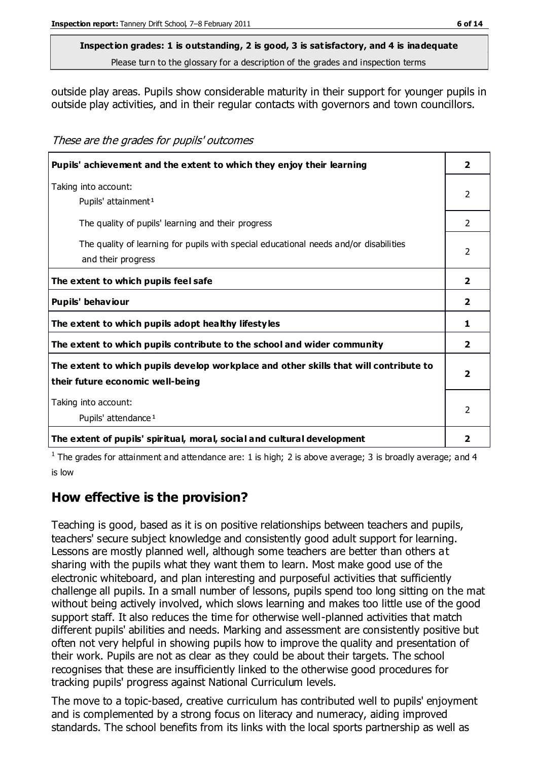#### **Inspection grades: 1 is outstanding, 2 is good, 3 is satisfactory, and 4 is inadequate**

Please turn to the glossary for a description of the grades and inspection terms

outside play areas. Pupils show considerable maturity in their support for younger pupils in outside play activities, and in their regular contacts with governors and town councillors.

These are the grades for pupils' outcomes

| Pupils' achievement and the extent to which they enjoy their learning                                                     | $\overline{\mathbf{2}}$ |
|---------------------------------------------------------------------------------------------------------------------------|-------------------------|
| Taking into account:<br>Pupils' attainment <sup>1</sup>                                                                   | 2                       |
| The quality of pupils' learning and their progress                                                                        | 2                       |
| The quality of learning for pupils with special educational needs and/or disabilities<br>and their progress               | $\mathcal{P}$           |
| The extent to which pupils feel safe                                                                                      | $\overline{2}$          |
| Pupils' behaviour                                                                                                         | $\overline{\mathbf{2}}$ |
| The extent to which pupils adopt healthy lifestyles                                                                       | 1                       |
| The extent to which pupils contribute to the school and wider community                                                   | $\overline{2}$          |
| The extent to which pupils develop workplace and other skills that will contribute to<br>their future economic well-being | $\overline{\mathbf{2}}$ |
| Taking into account:<br>Pupils' attendance <sup>1</sup>                                                                   | 2                       |
| The extent of pupils' spiritual, moral, social and cultural development                                                   | 2                       |

<sup>1</sup> The grades for attainment and attendance are: 1 is high; 2 is above average; 3 is broadly average; and 4 is low

## **How effective is the provision?**

Teaching is good, based as it is on positive relationships between teachers and pupils, teachers' secure subject knowledge and consistently good adult support for learning. Lessons are mostly planned well, although some teachers are better than others at sharing with the pupils what they want them to learn. Most make good use of the electronic whiteboard, and plan interesting and purposeful activities that sufficiently challenge all pupils. In a small number of lessons, pupils spend too long sitting on the mat without being actively involved, which slows learning and makes too little use of the good support staff. It also reduces the time for otherwise well-planned activities that match different pupils' abilities and needs. Marking and assessment are consistently positive but often not very helpful in showing pupils how to improve the quality and presentation of their work. Pupils are not as clear as they could be about their targets. The school recognises that these are insufficiently linked to the otherwise good procedures for tracking pupils' progress against National Curriculum levels.

The move to a topic-based, creative curriculum has contributed well to pupils' enjoyment and is complemented by a strong focus on literacy and numeracy, aiding improved standards. The school benefits from its links with the local sports partnership as well as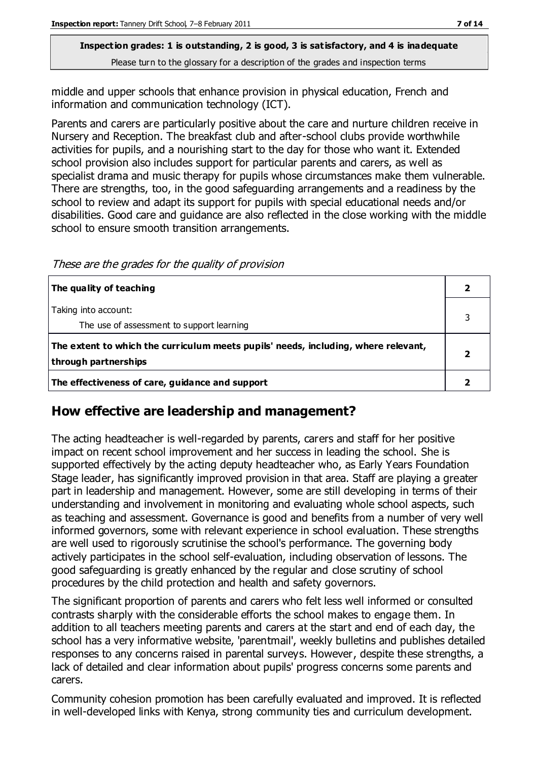middle and upper schools that enhance provision in physical education, French and information and communication technology (ICT).

Parents and carers are particularly positive about the care and nurture children receive in Nursery and Reception. The breakfast club and after-school clubs provide worthwhile activities for pupils, and a nourishing start to the day for those who want it. Extended school provision also includes support for particular parents and carers, as well as specialist drama and music therapy for pupils whose circumstances make them vulnerable. There are strengths, too, in the good safeguarding arrangements and a readiness by the school to review and adapt its support for pupils with special educational needs and/or disabilities. Good care and guidance are also reflected in the close working with the middle school to ensure smooth transition arrangements.

These are the grades for the quality of provision

| The quality of teaching                                                                                    |  |
|------------------------------------------------------------------------------------------------------------|--|
| Taking into account:<br>The use of assessment to support learning                                          |  |
| The extent to which the curriculum meets pupils' needs, including, where relevant,<br>through partnerships |  |
| The effectiveness of care, guidance and support                                                            |  |

#### **How effective are leadership and management?**

The acting headteacher is well-regarded by parents, carers and staff for her positive impact on recent school improvement and her success in leading the school. She is supported effectively by the acting deputy headteacher who, as Early Years Foundation Stage leader, has significantly improved provision in that area. Staff are playing a greater part in leadership and management. However, some are still developing in terms of their understanding and involvement in monitoring and evaluating whole school aspects, such as teaching and assessment. Governance is good and benefits from a number of very well informed governors, some with relevant experience in school evaluation. These strengths are well used to rigorously scrutinise the school's performance. The governing body actively participates in the school self-evaluation, including observation of lessons. The good safeguarding is greatly enhanced by the regular and close scrutiny of school procedures by the child protection and health and safety governors.

The significant proportion of parents and carers who felt less well informed or consulted contrasts sharply with the considerable efforts the school makes to engage them. In addition to all teachers meeting parents and carers at the start and end of each day, the school has a very informative website, 'parentmail', weekly bulletins and publishes detailed responses to any concerns raised in parental surveys. However, despite these strengths, a lack of detailed and clear information about pupils' progress concerns some parents and carers.

Community cohesion promotion has been carefully evaluated and improved. It is reflected in well-developed links with Kenya, strong community ties and curriculum development.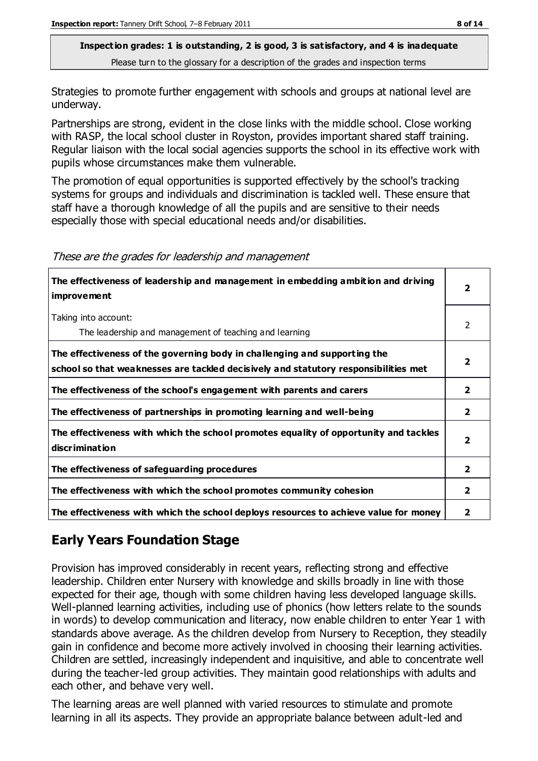Strategies to promote further engagement with schools and groups at national level are underway.

Partnerships are strong, evident in the close links with the middle school. Close working with RASP, the local school cluster in Royston, provides important shared staff training. Regular liaison with the local social agencies supports the school in its effective work with pupils whose circumstances make them vulnerable.

The promotion of equal opportunities is supported effectively by the school's tracking systems for groups and individuals and discrimination is tackled well. These ensure that staff have a thorough knowledge of all the pupils and are sensitive to their needs especially those with special educational needs and/or disabilities.

| The effectiveness of leadership and management in embedding ambition and driving<br>improvement                                                                  |                         |
|------------------------------------------------------------------------------------------------------------------------------------------------------------------|-------------------------|
| Taking into account:<br>The leadership and management of teaching and learning                                                                                   | 2                       |
| The effectiveness of the governing body in challenging and supporting the<br>school so that weaknesses are tackled decisively and statutory responsibilities met | $\overline{\mathbf{2}}$ |
| The effectiveness of the school's engagement with parents and carers                                                                                             | 2                       |
| The effectiveness of partnerships in promoting learning and well-being                                                                                           | $\mathbf{2}$            |
| The effectiveness with which the school promotes equality of opportunity and tackles<br>discrimination                                                           | 2                       |
| The effectiveness of safeguarding procedures                                                                                                                     | $\overline{2}$          |
| The effectiveness with which the school promotes community cohesion                                                                                              | $\mathbf{2}$            |
| The effectiveness with which the school deploys resources to achieve value for money                                                                             | 2                       |

These are the grades for leadership and management

# **Early Years Foundation Stage**

Provision has improved considerably in recent years, reflecting strong and effective leadership. Children enter Nursery with knowledge and skills broadly in line with those expected for their age, though with some children having less developed language skills. Well-planned learning activities, including use of phonics (how letters relate to the sounds in words) to develop communication and literacy, now enable children to enter Year 1 with standards above average. As the children develop from Nursery to Reception, they steadily gain in confidence and become more actively involved in choosing their learning activities. Children are settled, increasingly independent and inquisitive, and able to concentrate well during the teacher-led group activities. They maintain good relationships with adults and each other, and behave very well.

The learning areas are well planned with varied resources to stimulate and promote learning in all its aspects. They provide an appropriate balance between adult-led and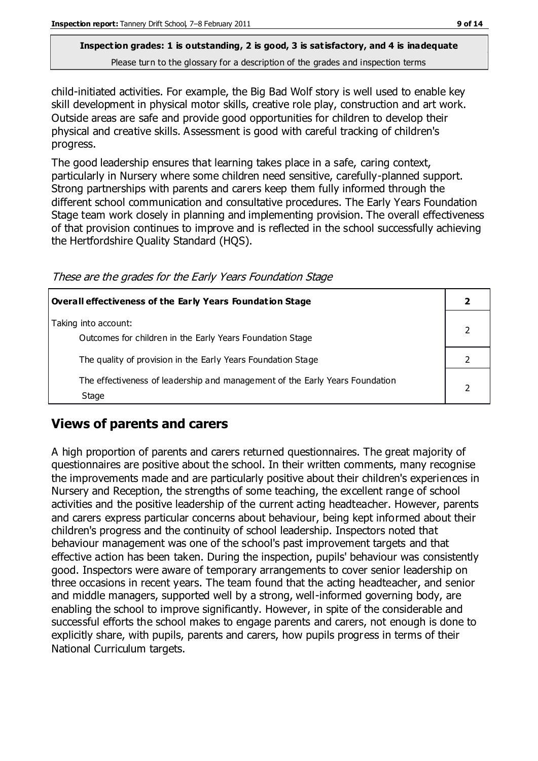child-initiated activities. For example, the Big Bad Wolf story is well used to enable key skill development in physical motor skills, creative role play, construction and art work. Outside areas are safe and provide good opportunities for children to develop their physical and creative skills. Assessment is good with careful tracking of children's progress.

The good leadership ensures that learning takes place in a safe, caring context, particularly in Nursery where some children need sensitive, carefully-planned support. Strong partnerships with parents and carers keep them fully informed through the different school communication and consultative procedures. The Early Years Foundation Stage team work closely in planning and implementing provision. The overall effectiveness of that provision continues to improve and is reflected in the school successfully achieving the Hertfordshire Quality Standard (HQS).

These are the grades for the Early Years Foundation Stage

| Overall effectiveness of the Early Years Foundation Stage                             |  |
|---------------------------------------------------------------------------------------|--|
| Taking into account:<br>Outcomes for children in the Early Years Foundation Stage     |  |
| The quality of provision in the Early Years Foundation Stage                          |  |
| The effectiveness of leadership and management of the Early Years Foundation<br>Stage |  |

## **Views of parents and carers**

A high proportion of parents and carers returned questionnaires. The great majority of questionnaires are positive about the school. In their written comments, many recognise the improvements made and are particularly positive about their children's experiences in Nursery and Reception, the strengths of some teaching, the excellent range of school activities and the positive leadership of the current acting headteacher. However, parents and carers express particular concerns about behaviour, being kept informed about their children's progress and the continuity of school leadership. Inspectors noted that behaviour management was one of the school's past improvement targets and that effective action has been taken. During the inspection, pupils' behaviour was consistently good. Inspectors were aware of temporary arrangements to cover senior leadership on three occasions in recent years. The team found that the acting headteacher, and senior and middle managers, supported well by a strong, well-informed governing body, are enabling the school to improve significantly. However, in spite of the considerable and successful efforts the school makes to engage parents and carers, not enough is done to explicitly share, with pupils, parents and carers, how pupils progress in terms of their National Curriculum targets.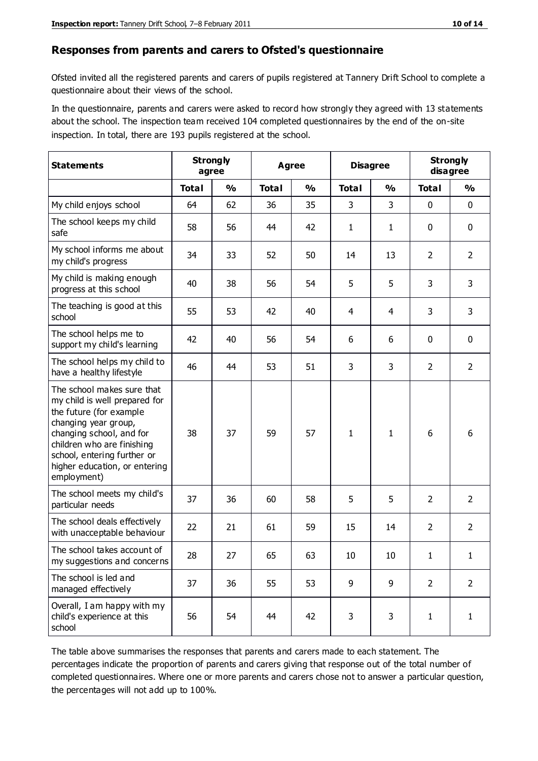#### **Responses from parents and carers to Ofsted's questionnaire**

Ofsted invited all the registered parents and carers of pupils registered at Tannery Drift School to complete a questionnaire about their views of the school.

In the questionnaire, parents and carers were asked to record how strongly they agreed with 13 statements about the school. The inspection team received 104 completed questionnaires by the end of the on-site inspection. In total, there are 193 pupils registered at the school.

| <b>Statements</b>                                                                                                                                                                                                                                       | <b>Strongly</b><br>agree |               | <b>Agree</b> |               | <b>Disagree</b> |                | <b>Strongly</b><br>disagree |                |
|---------------------------------------------------------------------------------------------------------------------------------------------------------------------------------------------------------------------------------------------------------|--------------------------|---------------|--------------|---------------|-----------------|----------------|-----------------------------|----------------|
|                                                                                                                                                                                                                                                         | <b>Total</b>             | $\frac{0}{0}$ | <b>Total</b> | $\frac{0}{0}$ | <b>Total</b>    | $\frac{0}{0}$  | <b>Total</b>                | %              |
| My child enjoys school                                                                                                                                                                                                                                  | 64                       | 62            | 36           | 35            | 3               | 3              | $\mathbf 0$                 | $\mathbf 0$    |
| The school keeps my child<br>safe                                                                                                                                                                                                                       | 58                       | 56            | 44           | 42            | $\mathbf{1}$    | $\mathbf{1}$   | 0                           | $\mathbf 0$    |
| My school informs me about<br>my child's progress                                                                                                                                                                                                       | 34                       | 33            | 52           | 50            | 14              | 13             | 2                           | $\overline{2}$ |
| My child is making enough<br>progress at this school                                                                                                                                                                                                    | 40                       | 38            | 56           | 54            | 5               | 5              | 3                           | 3              |
| The teaching is good at this<br>school                                                                                                                                                                                                                  | 55                       | 53            | 42           | 40            | 4               | $\overline{4}$ | 3                           | 3              |
| The school helps me to<br>support my child's learning                                                                                                                                                                                                   | 42                       | 40            | 56           | 54            | 6               | 6              | $\mathbf 0$                 | $\mathbf 0$    |
| The school helps my child to<br>have a healthy lifestyle                                                                                                                                                                                                | 46                       | 44            | 53           | 51            | 3               | 3              | $\overline{2}$              | $\overline{2}$ |
| The school makes sure that<br>my child is well prepared for<br>the future (for example<br>changing year group,<br>changing school, and for<br>children who are finishing<br>school, entering further or<br>higher education, or entering<br>employment) | 38                       | 37            | 59           | 57            | $\mathbf{1}$    | $\mathbf{1}$   | 6                           | 6              |
| The school meets my child's<br>particular needs                                                                                                                                                                                                         | 37                       | 36            | 60           | 58            | 5               | 5              | $\overline{2}$              | $\overline{2}$ |
| The school deals effectively<br>with unacceptable behaviour                                                                                                                                                                                             | 22                       | 21            | 61           | 59            | 15              | 14             | 2                           | $\overline{2}$ |
| The school takes account of<br>my suggestions and concerns                                                                                                                                                                                              | 28                       | 27            | 65           | 63            | $10\,$          | $10\,$         | 1                           | 1              |
| The school is led and<br>managed effectively                                                                                                                                                                                                            | 37                       | 36            | 55           | 53            | 9               | 9              | $\overline{2}$              | $\overline{2}$ |
| Overall, I am happy with my<br>child's experience at this<br>school                                                                                                                                                                                     | 56                       | 54            | 44           | 42            | 3               | 3              | $\mathbf{1}$                | $\mathbf{1}$   |

The table above summarises the responses that parents and carers made to each statement. The percentages indicate the proportion of parents and carers giving that response out of the total number of completed questionnaires. Where one or more parents and carers chose not to answer a particular question, the percentages will not add up to 100%.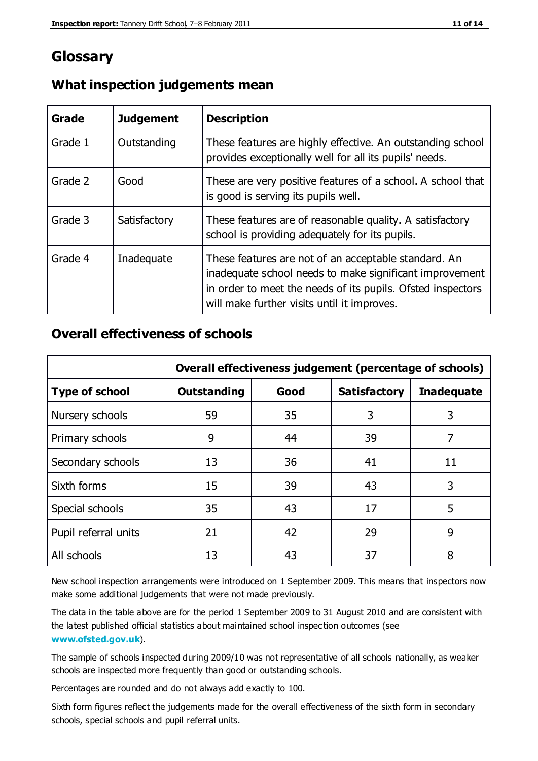# **Glossary**

| Grade   | <b>Judgement</b> | <b>Description</b>                                                                                                                                                                                                            |
|---------|------------------|-------------------------------------------------------------------------------------------------------------------------------------------------------------------------------------------------------------------------------|
| Grade 1 | Outstanding      | These features are highly effective. An outstanding school<br>provides exceptionally well for all its pupils' needs.                                                                                                          |
| Grade 2 | Good             | These are very positive features of a school. A school that<br>is good is serving its pupils well.                                                                                                                            |
| Grade 3 | Satisfactory     | These features are of reasonable quality. A satisfactory<br>school is providing adequately for its pupils.                                                                                                                    |
| Grade 4 | Inadequate       | These features are not of an acceptable standard. An<br>inadequate school needs to make significant improvement<br>in order to meet the needs of its pupils. Ofsted inspectors<br>will make further visits until it improves. |

#### **What inspection judgements mean**

## **Overall effectiveness of schools**

|                       | Overall effectiveness judgement (percentage of schools) |      |                     |                   |
|-----------------------|---------------------------------------------------------|------|---------------------|-------------------|
| <b>Type of school</b> | <b>Outstanding</b>                                      | Good | <b>Satisfactory</b> | <b>Inadequate</b> |
| Nursery schools       | 59                                                      | 35   | 3                   | 3                 |
| Primary schools       | 9                                                       | 44   | 39                  | 7                 |
| Secondary schools     | 13                                                      | 36   | 41                  | 11                |
| Sixth forms           | 15                                                      | 39   | 43                  | 3                 |
| Special schools       | 35                                                      | 43   | 17                  | 5                 |
| Pupil referral units  | 21                                                      | 42   | 29                  | 9                 |
| All schools           | 13                                                      | 43   | 37                  | 8                 |

New school inspection arrangements were introduced on 1 September 2009. This means that inspectors now make some additional judgements that were not made previously.

The data in the table above are for the period 1 September 2009 to 31 August 2010 and are consistent with the latest published official statistics about maintained school inspec tion outcomes (see **[www.ofsted.gov.uk](http://www.ofsted.gov.uk/)**).

The sample of schools inspected during 2009/10 was not representative of all schools nationally, as weaker schools are inspected more frequently than good or outstanding schools.

Percentages are rounded and do not always add exactly to 100.

Sixth form figures reflect the judgements made for the overall effectiveness of the sixth form in secondary schools, special schools and pupil referral units.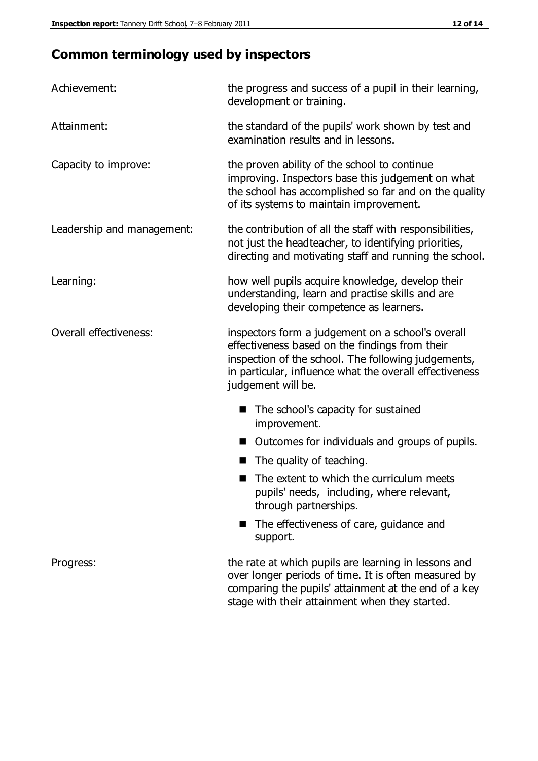# **Common terminology used by inspectors**

| Achievement:               | the progress and success of a pupil in their learning,<br>development or training.                                                                                                                                                          |
|----------------------------|---------------------------------------------------------------------------------------------------------------------------------------------------------------------------------------------------------------------------------------------|
| Attainment:                | the standard of the pupils' work shown by test and<br>examination results and in lessons.                                                                                                                                                   |
| Capacity to improve:       | the proven ability of the school to continue<br>improving. Inspectors base this judgement on what<br>the school has accomplished so far and on the quality<br>of its systems to maintain improvement.                                       |
| Leadership and management: | the contribution of all the staff with responsibilities,<br>not just the headteacher, to identifying priorities,<br>directing and motivating staff and running the school.                                                                  |
| Learning:                  | how well pupils acquire knowledge, develop their<br>understanding, learn and practise skills and are<br>developing their competence as learners.                                                                                            |
| Overall effectiveness:     | inspectors form a judgement on a school's overall<br>effectiveness based on the findings from their<br>inspection of the school. The following judgements,<br>in particular, influence what the overall effectiveness<br>judgement will be. |
|                            | The school's capacity for sustained<br>improvement.                                                                                                                                                                                         |
|                            | Outcomes for individuals and groups of pupils.                                                                                                                                                                                              |
|                            | The quality of teaching.                                                                                                                                                                                                                    |
|                            | The extent to which the curriculum meets<br>pupils' needs, including, where relevant,<br>through partnerships.                                                                                                                              |
|                            | The effectiveness of care, guidance and<br>support.                                                                                                                                                                                         |
| Progress:                  | the rate at which pupils are learning in lessons and<br>over longer periods of time. It is often measured by<br>comparing the pupils' attainment at the end of a key                                                                        |

stage with their attainment when they started.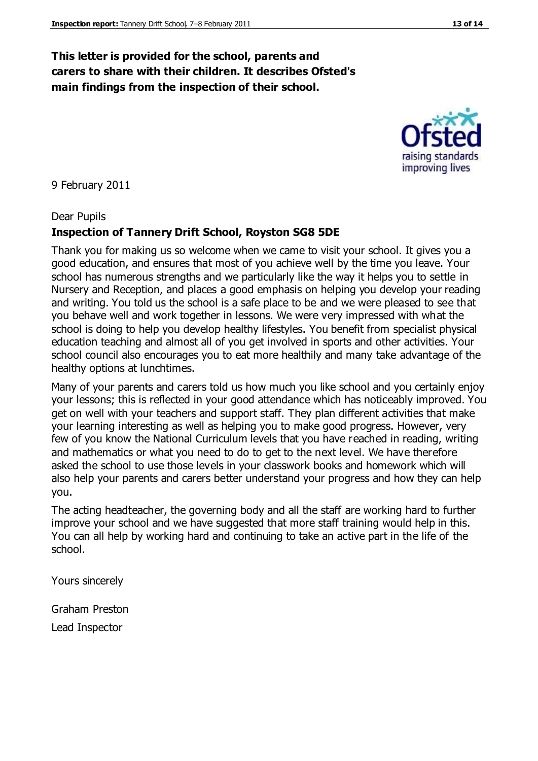## **This letter is provided for the school, parents and carers to share with their children. It describes Ofsted's main findings from the inspection of their school.**

#### 9 February 2011

#### Dear Pupils

## **Inspection of Tannery Drift School, Royston SG8 5DE**

Thank you for making us so welcome when we came to visit your school. It gives you a good education, and ensures that most of you achieve well by the time you leave. Your school has numerous strengths and we particularly like the way it helps you to settle in Nursery and Reception, and places a good emphasis on helping you develop your reading and writing. You told us the school is a safe place to be and we were pleased to see that you behave well and work together in lessons. We were very impressed with what the school is doing to help you develop healthy lifestyles. You benefit from specialist physical education teaching and almost all of you get involved in sports and other activities. Your school council also encourages you to eat more healthily and many take advantage of the healthy options at lunchtimes.

Many of your parents and carers told us how much you like school and you certainly enjoy your lessons; this is reflected in your good attendance which has noticeably improved. You get on well with your teachers and support staff. They plan different activities that make your learning interesting as well as helping you to make good progress. However, very few of you know the National Curriculum levels that you have reached in reading, writing and mathematics or what you need to do to get to the next level. We have therefore asked the school to use those levels in your classwork books and homework which will also help your parents and carers better understand your progress and how they can help you.

The acting headteacher, the governing body and all the staff are working hard to further improve your school and we have suggested that more staff training would help in this. You can all help by working hard and continuing to take an active part in the life of the school.

Yours sincerely

Graham Preston Lead Inspector